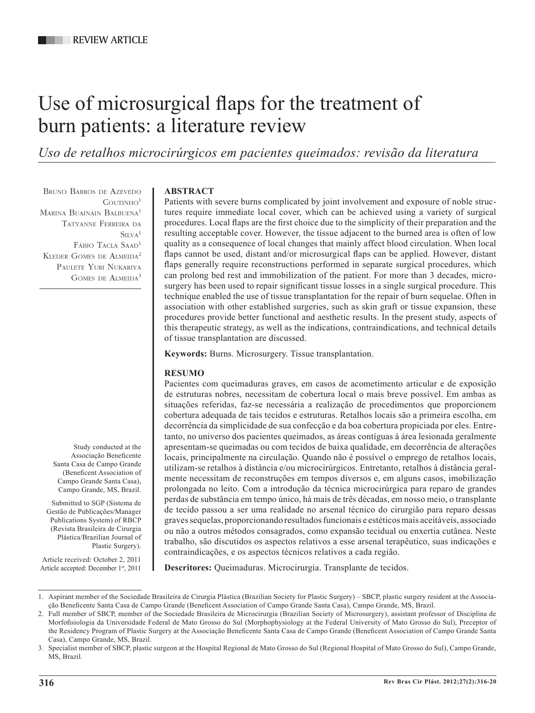# Use of microsurgical flaps for the treatment of burn patients: a literature review

*Uso de retalhos microcirúrgicos em pacientes queimados: revisão da literatura*

Bruno Barros de Azevedo  $C$ OUTINHO<sup>1</sup> Marina Buainain Balbuena1 Tatyanne Ferreira da  $SIIVA<sup>1</sup>$ Fábio Tacla Saad<sup>1</sup> KLEDER GOMES DE ALMEIDA<sup>2</sup> Paulete Yuri Nukariya GOMES DE ALMEIDA<sup>3</sup>

#### Study conducted at the Associação Beneficente Santa Casa de Campo Grande (Beneficent Association of Campo Grande Santa Casa), Campo Grande, MS, Brazil.

Submitted to SGP (Sistema de Gestão de Publicações/Manager Publications System) of RBCP (Revista Brasileira de Cirurgia Plástica/Brazilian Journal of Plastic Surgery).

Article received: October 2, 2011 Article accepted: December 1st, 2011

# **ABSTRACT**

Patients with severe burns complicated by joint involvement and exposure of noble structures require immediate local cover, which can be achieved using a variety of surgical procedures. Local flaps are the first choice due to the simplicity of their preparation and the resulting acceptable cover. However, the tissue adjacent to the burned area is often of low quality as a consequence of local changes that mainly affect blood circulation. When local flaps cannot be used, distant and/or microsurgical flaps can be applied. However, distant flaps generally require reconstructions performed in separate surgical procedures, which can prolong bed rest and immobilization of the patient. For more than 3 decades, microsurgery has been used to repair significant tissue losses in a single surgical procedure. This technique enabled the use of tissue transplantation for the repair of burn sequelae. Often in association with other established surgeries, such as skin graft or tissue expansion, these procedures provide better functional and aesthetic results. In the present study, aspects of this therapeutic strategy, as well as the indications, contraindications, and technical details of tissue transplantation are discussed.

**Keywords:** Burns. Microsurgery. Tissue transplantation.

# **RESUMO**

Pacientes com queimaduras graves, em casos de acometimento articular e de exposição de estruturas nobres, necessitam de cobertura local o mais breve possível. Em ambas as situações referidas, faz-se necessária a realização de procedimentos que proporcionem cobertura adequada de tais tecidos e estruturas. Retalhos locais são a primeira escolha, em decorrência da simplicidade de sua confecção e da boa cobertura propiciada por eles. Entretanto, no universo dos pacientes queimados, as áreas contíguas à área lesionada geralmente apresentam-se queimadas ou com tecidos de baixa qualidade, em decorrência de alterações locais, principalmente na circulação. Quando não é possível o emprego de retalhos locais, utilizam-se retalhos à distância e/ou microcirúrgicos. Entretanto, retalhos à distância geralmente necessitam de reconstruções em tempos diversos e, em alguns casos, imobilização prolongada no leito. Com a introdução da técnica microcirúrgica para reparo de grandes perdas de substância em tempo único, há mais de três décadas, em nosso meio, o transplante de tecido passou a ser uma realidade no arsenal técnico do cirurgião para reparo dessas graves sequelas, proporcionando resultados funcionais e estéticos mais aceitáveis, associado ou não a outros métodos consagrados, como expansão tecidual ou enxertia cutânea. Neste trabalho, são discutidos os aspectos relativos a esse arsenal terapêutico, suas indicações e contraindicações, e os aspectos técnicos relativos a cada região.

**Descritores:** Queimaduras. Microcirurgia. Transplante de tecidos.

<sup>1.</sup> Aspirant member of the Sociedade Brasileira de Cirurgia Plástica (Brazilian Society for Plastic Surgery) – SBCP, plastic surgery resident at the Associação Beneficente Santa Casa de Campo Grande (Beneficent Association of Campo Grande Santa Casa), Campo Grande, MS, Brazil.

<sup>2.</sup> Full member of SBCP, member of the Sociedade Brasileira de Microcirurgia (Brazilian Society of Microsurgery), assistant professor of Disciplina de Morfofisiologia da Universidade Federal de Mato Grosso do Sul (Morphophysiology at the Federal University of Mato Grosso do Sul), Preceptor of the Residency Program of Plastic Surgery at the Associação Beneficente Santa Casa de Campo Grande (Beneficent Association of Campo Grande Santa Casa), Campo Grande, MS, Brazil.

<sup>3.</sup> Specialist member of SBCP, plastic surgeon at the Hospital Regional de Mato Grosso do Sul (Regional Hospital of Mato Grosso do Sul), Campo Grande, MS, Brazil.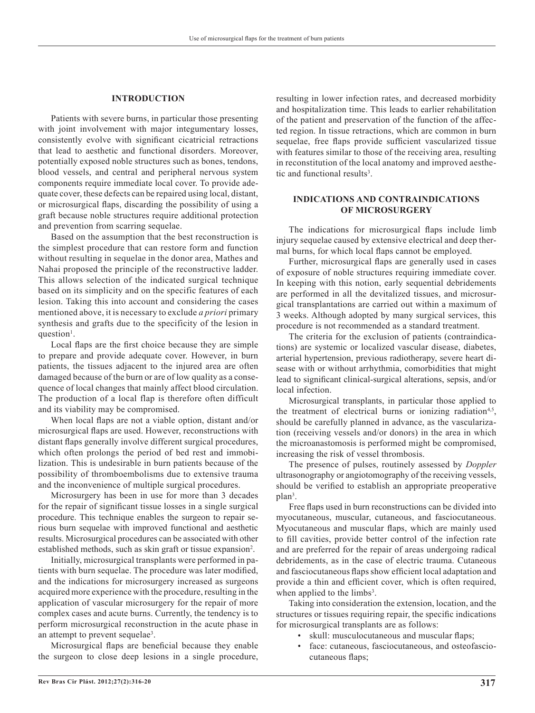# **INTRODUCTION**

Patients with severe burns, in particular those presenting with joint involvement with major integumentary losses, consistently evolve with significant cicatricial retractions that lead to aesthetic and functional disorders. Moreover, potentially exposed noble structures such as bones, tendons, blood vessels, and central and peripheral nervous system components require immediate local cover. To provide adequate cover, these defects can be repaired using local, distant, or microsurgical flaps, discarding the possibility of using a graft because noble structures require additional protection and prevention from scarring sequelae.

Based on the assumption that the best reconstruction is the simplest procedure that can restore form and function without resulting in sequelae in the donor area, Mathes and Nahai proposed the principle of the reconstructive ladder. This allows selection of the indicated surgical technique based on its simplicity and on the specific features of each lesion. Taking this into account and considering the cases mentioned above, it is necessary to exclude *a priori* primary synthesis and grafts due to the specificity of the lesion in question<sup>1</sup>.

Local flaps are the first choice because they are simple to prepare and provide adequate cover. However, in burn patients, the tissues adjacent to the injured area are often damaged because of the burn or are of low quality as a consequence of local changes that mainly affect blood circulation. The production of a local flap is therefore often difficult and its viability may be compromised.

When local flaps are not a viable option, distant and/or microsurgical flaps are used. However, reconstructions with distant flaps generally involve different surgical procedures, which often prolongs the period of bed rest and immobilization. This is undesirable in burn patients because of the possibility of thromboembolisms due to extensive trauma and the inconvenience of multiple surgical procedures.

Microsurgery has been in use for more than 3 decades for the repair of significant tissue losses in a single surgical procedure. This technique enables the surgeon to repair serious burn sequelae with improved functional and aesthetic results. Microsurgical procedures can be associated with other established methods, such as skin graft or tissue expansion<sup>2</sup>.

Initially, microsurgical transplants were performed in patients with burn sequelae. The procedure was later modified, and the indications for microsurgery increased as surgeons acquired more experience with the procedure, resulting in the application of vascular microsurgery for the repair of more complex cases and acute burns. Currently, the tendency is to perform microsurgical reconstruction in the acute phase in an attempt to prevent sequelae<sup>3</sup>.

Microsurgical flaps are beneficial because they enable the surgeon to close deep lesions in a single procedure, resulting in lower infection rates, and decreased morbidity and hospitalization time. This leads to earlier rehabilitation of the patient and preservation of the function of the affected region. In tissue retractions, which are common in burn sequelae, free flaps provide sufficient vascularized tissue with features similar to those of the receiving area, resulting in reconstitution of the local anatomy and improved aesthetic and functional results<sup>3</sup>.

## **INDICATIONS AND CONTRAINDICATIONS OF MICROSURGERY**

The indications for microsurgical flaps include limb injury sequelae caused by extensive electrical and deep thermal burns, for which local flaps cannot be employed.

Further, microsurgical flaps are generally used in cases of exposure of noble structures requiring immediate cover. In keeping with this notion, early sequential debridements are performed in all the devitalized tissues, and microsurgical transplantations are carried out within a maximum of 3 weeks. Although adopted by many surgical services, this procedure is not recommended as a standard treatment.

The criteria for the exclusion of patients (contraindications) are systemic or localized vascular disease, diabetes, arterial hypertension, previous radiotherapy, severe heart disease with or without arrhythmia, comorbidities that might lead to significant clinical-surgical alterations, sepsis, and/or local infection.

Microsurgical transplants, in particular those applied to the treatment of electrical burns or ionizing radiation<sup>4,5</sup>, should be carefully planned in advance, as the vascularization (receiving vessels and/or donors) in the area in which the microanastomosis is performed might be compromised, increasing the risk of vessel thrombosis.

The presence of pulses, routinely assessed by *Doppler* ultrasonography or angiotomography of the receiving vessels, should be verified to establish an appropriate preoperative plan<sup>3</sup>.

Free flaps used in burn reconstructions can be divided into myocutaneous, muscular, cutaneous, and fasciocutaneous. Myocutaneous and muscular flaps, which are mainly used to fill cavities, provide better control of the infection rate and are preferred for the repair of areas undergoing radical debridements, as in the case of electric trauma. Cutaneous and fasciocutaneous flaps show efficient local adaptation and provide a thin and efficient cover, which is often required, when applied to the limbs<sup>3</sup>.

Taking into consideration the extension, location, and the structures or tissues requiring repair, the specific indications for microsurgical transplants are as follows:

- skull: musculocutaneous and muscular flaps;
- face: cutaneous, fasciocutaneous, and osteofasciocutaneous flaps;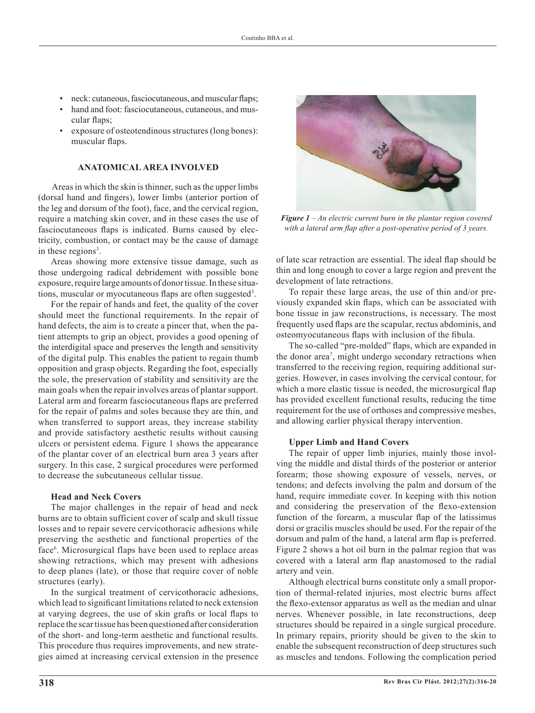- neck: cutaneous, fasciocutaneous, and muscular flaps;
- hand and foot: fasciocutaneous, cutaneous, and muscular flaps;
- exposure of osteotendinous structures (long bones): muscular flaps.

# **ANATOMICAL AREA INVOLVED**

Areas in which the skin is thinner, such as the upper limbs (dorsal hand and fingers), lower limbs (anterior portion of the leg and dorsum of the foot), face, and the cervical region, require a matching skin cover, and in these cases the use of fasciocutaneous flaps is indicated. Burns caused by electricity, combustion, or contact may be the cause of damage in these regions<sup>3</sup>.

Areas showing more extensive tissue damage, such as those undergoing radical debridement with possible bone exposure, require large amounts of donor tissue. In these situations, muscular or myocutaneous flaps are often suggested<sup>3</sup>.

For the repair of hands and feet, the quality of the cover should meet the functional requirements. In the repair of hand defects, the aim is to create a pincer that, when the patient attempts to grip an object, provides a good opening of the interdigital space and preserves the length and sensitivity of the digital pulp. This enables the patient to regain thumb opposition and grasp objects. Regarding the foot, especially the sole, the preservation of stability and sensitivity are the main goals when the repair involves areas of plantar support. Lateral arm and forearm fasciocutaneous flaps are preferred for the repair of palms and soles because they are thin, and when transferred to support areas, they increase stability and provide satisfactory aesthetic results without causing ulcers or persistent edema. Figure 1 shows the appearance of the plantar cover of an electrical burn area 3 years after surgery. In this case, 2 surgical procedures were performed to decrease the subcutaneous cellular tissue.

## **Head and Neck Covers**

The major challenges in the repair of head and neck burns are to obtain sufficient cover of scalp and skull tissue losses and to repair severe cervicothoracic adhesions while preserving the aesthetic and functional properties of the face<sup>6</sup>. Microsurgical flaps have been used to replace areas showing retractions, which may present with adhesions to deep planes (late), or those that require cover of noble structures (early).

In the surgical treatment of cervicothoracic adhesions, which lead to significant limitations related to neck extension at varying degrees, the use of skin grafts or local flaps to replace the scar tissue has been questioned after consideration of the short- and long-term aesthetic and functional results. This procedure thus requires improvements, and new strategies aimed at increasing cervical extension in the presence



*Figure 1 – An electric current burn in the plantar region covered with a lateral arm flap after a post-operative period of 3 years.*

of late scar retraction are essential. The ideal flap should be thin and long enough to cover a large region and prevent the development of late retractions.

To repair these large areas, the use of thin and/or previously expanded skin flaps, which can be associated with bone tissue in jaw reconstructions, is necessary. The most frequently used flaps are the scapular, rectus abdominis, and osteomyocutaneous flaps with inclusion of the fibula.

The so-called "pre-molded" flaps, which are expanded in the donor area<sup>7</sup>, might undergo secondary retractions when transferred to the receiving region, requiring additional surgeries. However, in cases involving the cervical contour, for which a more elastic tissue is needed, the microsurgical flap has provided excellent functional results, reducing the time requirement for the use of orthoses and compressive meshes, and allowing earlier physical therapy intervention.

#### **Upper Limb and Hand Covers**

The repair of upper limb injuries, mainly those involving the middle and distal thirds of the posterior or anterior forearm; those showing exposure of vessels, nerves, or tendons; and defects involving the palm and dorsum of the hand, require immediate cover. In keeping with this notion and considering the preservation of the flexo-extension function of the forearm, a muscular flap of the latissimus dorsi or gracilis muscles should be used. For the repair of the dorsum and palm of the hand, a lateral arm flap is preferred. Figure 2 shows a hot oil burn in the palmar region that was covered with a lateral arm flap anastomosed to the radial artery and vein.

Although electrical burns constitute only a small proportion of thermal-related injuries, most electric burns affect the flexo-extensor apparatus as well as the median and ulnar nerves. Whenever possible, in late reconstructions, deep structures should be repaired in a single surgical procedure. In primary repairs, priority should be given to the skin to enable the subsequent reconstruction of deep structures such as muscles and tendons. Following the complication period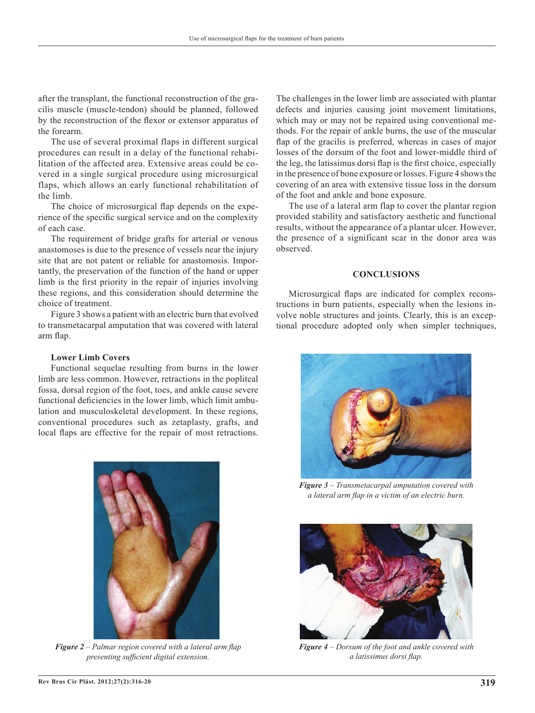after the transplant, the functional reconstruction of the gracilis muscle (muscle-tendon) should be planned, followed by the reconstruction of the flexor or extensor apparatus of the forearm.

The use of several proximal flaps in different surgical procedures can result in a delay of the functional rehabilitation of the affected area. Extensive areas could be covered in a single surgical procedure using microsurgical flaps, which allows an early functional rehabilitation of the limb.

The choice of microsurgical flap depends on the experience of the specific surgical service and on the complexity of each case.

The requirement of bridge grafts for arterial or venous anastomoses is due to the presence of vessels near the injury site that are not patent or reliable for anastomosis. Importantly, the preservation of the function of the hand or upper limb is the first priority in the repair of injuries involving these regions, and this consideration should determine the choice of treatment.

Figure 3 shows a patient with an electric burn that evolved to transmetacarpal amputation that was covered with lateral arm flap.

#### **Lower Limb Covers**

Functional sequelae resulting from burns in the lower limb are less common. However, retractions in the popliteal fossa, dorsal region of the foot, toes, and ankle cause severe functional deficiencies in the lower limb, which limit ambulation and musculoskeletal development. In these regions, conventional procedures such as zetaplasty, grafts, and local flaps are effective for the repair of most retractions.



*Figure 2 – Palmar region covered with a lateral arm flap presenting sufficient digital extension.*

The challenges in the lower limb are associated with plantar defects and injuries causing joint movement limitations, which may or may not be repaired using conventional methods. For the repair of ankle burns, the use of the muscular flap of the gracilis is preferred, whereas in cases of major losses of the dorsum of the foot and lower-middle third of the leg, the latissimus dorsi flap is the first choice, especially in the presence of bone exposure or losses. Figure 4 shows the covering of an area with extensive tissue loss in the dorsum of the foot and ankle and bone exposure.

The use of a lateral arm flap to cover the plantar region provided stability and satisfactory aesthetic and functional results, without the appearance of a plantar ulcer. However, the presence of a significant scar in the donor area was observed.

# **CONCLUSIONS**

Microsurgical flaps are indicated for complex reconstructions in burn patients, especially when the lesions involve noble structures and joints. Clearly, this is an exceptional procedure adopted only when simpler techniques,



*Figure 3 – Transmetacarpal amputation covered with a lateral arm flap in a victim of an electric burn.*



*Figure 4 – Dorsum of the foot and ankle covered with a latissimus dorsi flap.*